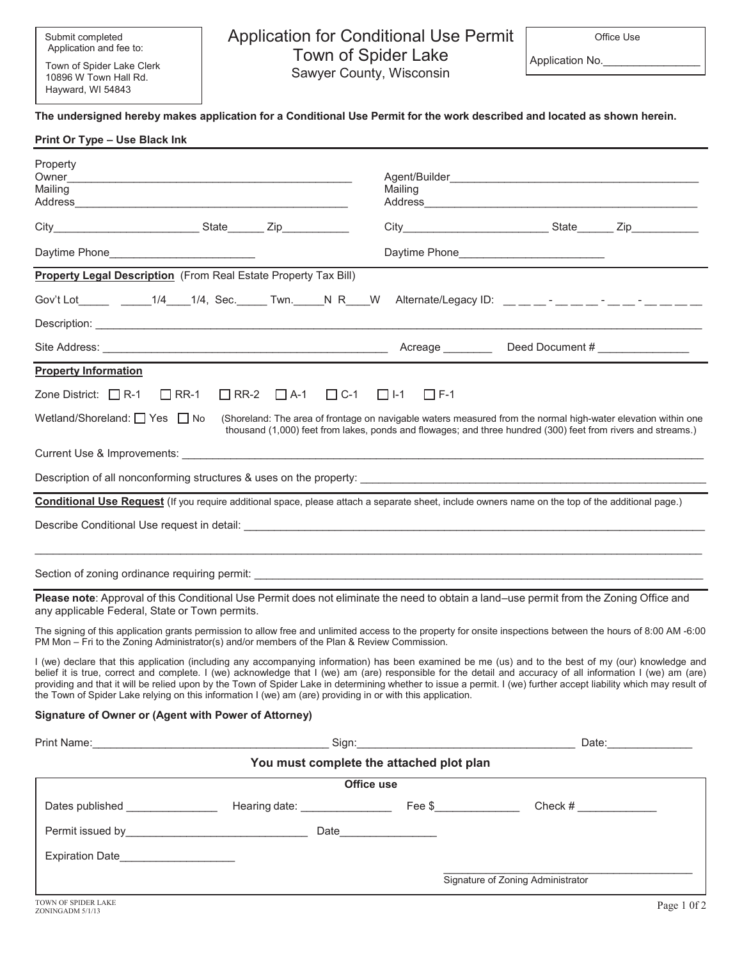Town of Spider Lake Clerk 10896 W Town Hall Rd. Hayward, WI 54843

# Application for Conditional Use Permit Town of Spider Lake Sawyer County, Wisconsin

Application No.

#### **The undersigned hereby makes application for a Conditional Use Permit for the work described and located as shown herein.**

#### **Print Or Type – Use Black Ink**

| Property<br>Owner                                                                                          |                        |                                          |                                                                                                                                                                                                                                                                                                                                                                                                                                                                                           |  |
|------------------------------------------------------------------------------------------------------------|------------------------|------------------------------------------|-------------------------------------------------------------------------------------------------------------------------------------------------------------------------------------------------------------------------------------------------------------------------------------------------------------------------------------------------------------------------------------------------------------------------------------------------------------------------------------------|--|
| Mailing                                                                                                    |                        | Mailing                                  |                                                                                                                                                                                                                                                                                                                                                                                                                                                                                           |  |
|                                                                                                            |                        |                                          |                                                                                                                                                                                                                                                                                                                                                                                                                                                                                           |  |
| Daytime Phone__________________________                                                                    |                        |                                          | Daytime Phone______________________________                                                                                                                                                                                                                                                                                                                                                                                                                                               |  |
| <b>Property Legal Description</b> (From Real Estate Property Tax Bill)                                     |                        |                                          |                                                                                                                                                                                                                                                                                                                                                                                                                                                                                           |  |
| Gov't Lot _____ ______ 1/4 ____ 1/4, Sec. _____ Twn. _____ N R____ W                                       |                        |                                          | Alternate/Legacy ID: _____- - ____ - ___ - __ - __ -                                                                                                                                                                                                                                                                                                                                                                                                                                      |  |
|                                                                                                            |                        |                                          |                                                                                                                                                                                                                                                                                                                                                                                                                                                                                           |  |
|                                                                                                            |                        |                                          | Deed Document # _______________                                                                                                                                                                                                                                                                                                                                                                                                                                                           |  |
| <b>Property Information</b>                                                                                |                        |                                          |                                                                                                                                                                                                                                                                                                                                                                                                                                                                                           |  |
| Zone District: $\Box$ R-1<br>$\Box$ RR-1                                                                   | $\Box$ RR-2 $\Box$ A-1 | $\Box$ C-1<br>$\Box$ I-1<br>$\Box$ F-1   |                                                                                                                                                                                                                                                                                                                                                                                                                                                                                           |  |
| Wetland/Shoreland: $\Box$ Yes $\Box$ No                                                                    |                        |                                          | (Shoreland: The area of frontage on navigable waters measured from the normal high-water elevation within one<br>thousand (1,000) feet from lakes, ponds and flowages; and three hundred (300) feet from rivers and streams.)                                                                                                                                                                                                                                                             |  |
|                                                                                                            |                        |                                          |                                                                                                                                                                                                                                                                                                                                                                                                                                                                                           |  |
|                                                                                                            |                        |                                          |                                                                                                                                                                                                                                                                                                                                                                                                                                                                                           |  |
|                                                                                                            |                        |                                          | Conditional Use Request (If you require additional space, please attach a separate sheet, include owners name on the top of the additional page.)                                                                                                                                                                                                                                                                                                                                         |  |
|                                                                                                            |                        |                                          |                                                                                                                                                                                                                                                                                                                                                                                                                                                                                           |  |
|                                                                                                            |                        |                                          |                                                                                                                                                                                                                                                                                                                                                                                                                                                                                           |  |
|                                                                                                            |                        |                                          |                                                                                                                                                                                                                                                                                                                                                                                                                                                                                           |  |
| any applicable Federal, State or Town permits.                                                             |                        |                                          | Please note: Approval of this Conditional Use Permit does not eliminate the need to obtain a land-use permit from the Zoning Office and                                                                                                                                                                                                                                                                                                                                                   |  |
| PM Mon - Fri to the Zoning Administrator(s) and/or members of the Plan & Review Commission.                |                        |                                          | The signing of this application grants permission to allow free and unlimited access to the property for onsite inspections between the hours of 8:00 AM -6:00                                                                                                                                                                                                                                                                                                                            |  |
| the Town of Spider Lake relying on this information I (we) am (are) providing in or with this application. |                        |                                          | I (we) declare that this application (including any accompanying information) has been examined be me (us) and to the best of my (our) knowledge and<br>belief it is true, correct and complete. I (we) acknowledge that I (we) am (are) responsible for the detail and accuracy of all information I (we) am (are)<br>providing and that it will be relied upon by the Town of Spider Lake in determining whether to issue a permit. I (we) further accept liability which may result of |  |
| Signature of Owner or (Agent with Power of Attorney)                                                       |                        |                                          |                                                                                                                                                                                                                                                                                                                                                                                                                                                                                           |  |
|                                                                                                            |                        |                                          | Date: the contract of the contract of the contract of the contract of the contract of the contract of the contract of the contract of the contract of the contract of the contract of the contract of the contract of the cont                                                                                                                                                                                                                                                            |  |
|                                                                                                            |                        | You must complete the attached plot plan |                                                                                                                                                                                                                                                                                                                                                                                                                                                                                           |  |
|                                                                                                            |                        | <b>Office use</b>                        |                                                                                                                                                                                                                                                                                                                                                                                                                                                                                           |  |
|                                                                                                            |                        |                                          | Check # ______________                                                                                                                                                                                                                                                                                                                                                                                                                                                                    |  |
|                                                                                                            |                        |                                          |                                                                                                                                                                                                                                                                                                                                                                                                                                                                                           |  |
|                                                                                                            |                        |                                          |                                                                                                                                                                                                                                                                                                                                                                                                                                                                                           |  |
| <b>Expiration Date Expiration</b>                                                                          |                        |                                          |                                                                                                                                                                                                                                                                                                                                                                                                                                                                                           |  |